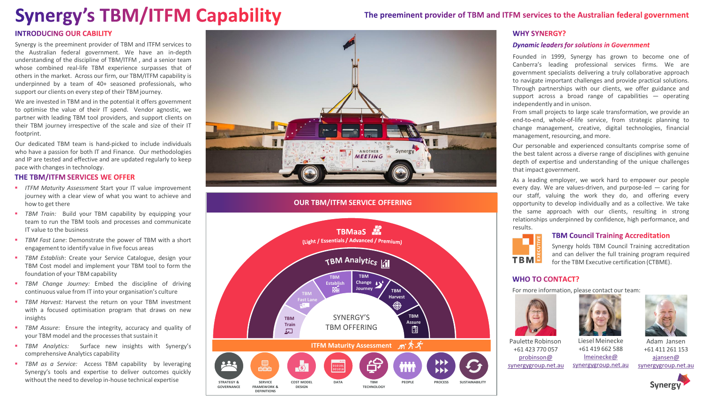## **Synergy's TBM/ITFM Capability**

The preeminent provider of TBM and ITFM services to the Australian federal government

#### **INTRODUCING OUR CABILITY**

Synergy is the preeminent provider of TBM and ITFM services to the Australian federal government . We have an in -depth understanding of the discipline of TBM/ITFM , and a senior team whose combined real -life TBM experience surpasses that of others in the market . Across our firm, our TBM/ITFM capability is underpinned by a team of 40 + seasoned professionals, who support our clients on every step of their TBM journey .

We are invested in TBM and in the potential it offers government to optimise the value of their IT spend . Vendor agnostic, we partner with leading TBM tool providers, and support clients on their TBM journey irrespective of the scale and size of their IT footprint .

Our dedicated TBM team is hand -picked to include individuals who have a passion for both IT and Finance . Our methodologies and IP are tested and effective and are updated regularly to keep pace with changes in technology.

#### THE TBM/ITFM SERVICES WE OFFER

- *ITFM Maturity Assessment* Start your IT value improvement journey with a clear view of what you want to achieve and how to get there
- **TBM** Train: Build your TBM capability by equipping your team to run the TBM tools and processes and communicate IT value to the business
- **TBM** Fast Lane: Demonstrate the power of TBM with a short engagement to identify value in five focus areas
- **TBM Establish: Create your Service Catalogue, design your** TBM Cost model and implement your TBM tool to form the foundation of your TBM capability
- *TBM Change Journey :* Embed the discipline of driving continuous value from IT into your organisation's culture
- **TBM Harvest: Harvest the return on your TBM investment** with a focused optimisation program that draws on new insights
- **TBM** Assure: Ensure the integrity, accuracy and quality of your TBM model and the processes that sustain it
- *TBM Analytics :* Surface new insights with Synergy's comprehensive Analytics capability
- *TBM as a Service :* Access TBM capability by leveraging Synergy's tools and expertise to deliver outcomes quickly without the need to develop in -house technical expertise



#### **OUR TBM/ITFM SERVICE OFFERING**



#### **WHY SYNERGY?**

#### **Dynamic leaders for solutions in Government**

Founded in 1999 , Synergy has grown to become one of Canberra's leading professional services firms . We are government specialists delivering a truly collaborative approach to navigate important challenges and provide practical solutions . Through partnerships with our clients, we offer guidance and support across a broad range of capabilities — operating independently and in unison .

From small projects to large scale transformation, we provide an end-to-end, whole-of-life service, from strategic planning to change management, creative, digital technologies, financial management, resourcing, and more .

Our personable and experienced consultants comprise some of the best talent across a diverse range of disciplines with genuine depth of expertise and understanding of the unique challenges that impact government .

As a leading employer, we work hard to empower our people every day. We are values-driven, and purpose-led - caring for our staff, valuing the work they do, and offering every opportunity to develop individually and as a collective . We take the same approach with our clients, resulting in strong relationships underpinned by confidence, high performance, and results .

# **TBM**

**TBM Council Training Accreditation** 

Synergy holds TBM Council Training accreditation and can deliver the full training program required for the TBM Executive certification (CTBME) .

#### **WHO TO CONTACT?**

For more information, please contact our team :







Paulette Robinson +61 423 770 057 [probinson](mailto:probinson@synergygroup.net.au?subject=Re:%20Synergy) @

[synergygroup.net.au](mailto:probinson@synergygroup.net.au?subject=Re:%20Synergy) [lmeinecke](mailto:lmeinecke@synergygroup.net.au?subject=Re:%20Synergy) @

[synergygroup.net.au](mailto:lmeinecke@synergygroup.net.au?subject=Re:%20Synergy)

Liesel Meinecke +61 419 662 588

> [ajansen](mailto:ajansen@synergygroup.net.au?subject=Re:%20Synergy) @ [synergygroup.net.au](mailto:ajansen@synergygroup.net.au?subject=Re:%20Synergy)

+61 411 261 153